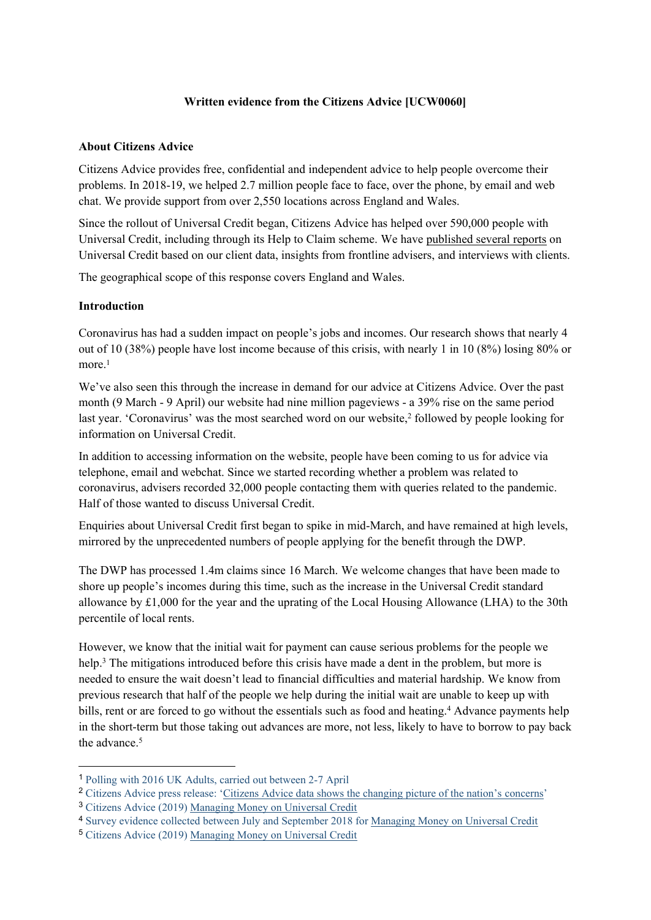### **Written evidence from the Citizens Advice [UCW0060]**

#### **About Citizens Advice**

Citizens Advice provides free, confidential and independent advice to help people overcome their problems. In 2018-19, we helped 2.7 million people face to face, over the phone, by email and web chat. We provide support from over 2,550 locations across England and Wales.

Since the rollout of Universal Credit began, Citizens Advice has helped over 590,000 people with Universal Credit, including through its Help to Claim scheme. We have [published](https://www.citizensadvice.org.uk/about-us/policy/policy-research-topics/welfare-policy-research-surveys-and-consultation-responses/welfare-policy-research/) [several](https://www.citizensadvice.org.uk/about-us/policy/policy-research-topics/welfare-policy-research-surveys-and-consultation-responses/welfare-policy-research/) [reports](https://www.citizensadvice.org.uk/about-us/policy/policy-research-topics/welfare-policy-research-surveys-and-consultation-responses/welfare-policy-research/) on Universal Credit based on our client data, insights from frontline advisers, and interviews with clients.

The geographical scope of this response covers England and Wales.

#### **Introduction**

Coronavirus has had a sudden impact on people's jobs and incomes. Our research shows that nearly 4 out of 10 (38%) people have lost income because of this crisis, with nearly 1 in 10 (8%) losing 80% or more.<sup>1</sup>

We've also seen this through the increase in demand for our advice at Citizens Advice. Over the past month (9 March - 9 April) our website had nine million pageviews - a 39% rise on the same period last year. 'Coronavirus' was the most searched word on our website,<sup>2</sup> followed by people looking for information on Universal Credit.

In addition to accessing information on the website, people have been coming to us for advice via telephone, email and webchat. Since we started recording whether a problem was related to coronavirus, advisers recorded 32,000 people contacting them with queries related to the pandemic. Half of those wanted to discuss Universal Credit.

Enquiries about Universal Credit first began to spike in mid-March, and have remained at high levels, mirrored by the unprecedented numbers of people applying for the benefit through the DWP.

The DWP has processed 1.4m claims since 16 March. We welcome changes that have been made to shore up people's incomes during this time, such as the increase in the Universal Credit standard allowance by £1,000 for the year and the uprating of the Local Housing Allowance (LHA) to the 30th percentile of local rents.

However, we know that the initial wait for payment can cause serious problems for the people we help.<sup>3</sup> The mitigations introduced before this crisis have made a dent in the problem, but more is needed to ensure the wait doesn't lead to financial difficulties and material hardship. We know from previous research that half of the people we help during the initial wait are unable to keep up with bills, rent or are forced to go without the essentials such as food and heating.<sup>4</sup> Advance payments help in the short-term but those taking out advances are more, not less, likely to have to borrow to pay back the advance.<sup>5</sup>

<sup>4</sup> Survey evidence collected between July and September 2018 for [Managing](https://www.citizensadvice.org.uk/about-us/policy/policy-research-topics/welfare-policy-research-surveys-and-consultation-responses/welfare-policy-research/managing-money-on-universal-credit/) [Money](https://www.citizensadvice.org.uk/about-us/policy/policy-research-topics/welfare-policy-research-surveys-and-consultation-responses/welfare-policy-research/managing-money-on-universal-credit/) [on](https://www.citizensadvice.org.uk/about-us/policy/policy-research-topics/welfare-policy-research-surveys-and-consultation-responses/welfare-policy-research/managing-money-on-universal-credit/) [Universal](https://www.citizensadvice.org.uk/about-us/policy/policy-research-topics/welfare-policy-research-surveys-and-consultation-responses/welfare-policy-research/managing-money-on-universal-credit/) [Credit](https://www.citizensadvice.org.uk/about-us/policy/policy-research-topics/welfare-policy-research-surveys-and-consultation-responses/welfare-policy-research/managing-money-on-universal-credit/)

<sup>1</sup> Polling with 2016 UK Adults, carried out between 2[-](https://www.citizensadvice.org.uk/about-us/how-citizens-advice-works/media/press-releases/benefits-advice-and-worries-about-paying-the-bills-citizens-advice-data-shows-the-changing-picture-of-the-nations-concerns/)7 April

<sup>2</sup> Citizens Advice press release: ['Citizens](https://www.citizensadvice.org.uk/about-us/how-citizens-advice-works/media/press-releases/benefits-advice-and-worries-about-paying-the-bills-citizens-advice-data-shows-the-changing-picture-of-the-nations-concerns/) [Advice](https://www.citizensadvice.org.uk/about-us/how-citizens-advice-works/media/press-releases/benefits-advice-and-worries-about-paying-the-bills-citizens-advice-data-shows-the-changing-picture-of-the-nations-concerns/) [data](https://www.citizensadvice.org.uk/about-us/how-citizens-advice-works/media/press-releases/benefits-advice-and-worries-about-paying-the-bills-citizens-advice-data-shows-the-changing-picture-of-the-nations-concerns/) [shows](https://www.citizensadvice.org.uk/about-us/how-citizens-advice-works/media/press-releases/benefits-advice-and-worries-about-paying-the-bills-citizens-advice-data-shows-the-changing-picture-of-the-nations-concerns/) [the](https://www.citizensadvice.org.uk/about-us/how-citizens-advice-works/media/press-releases/benefits-advice-and-worries-about-paying-the-bills-citizens-advice-data-shows-the-changing-picture-of-the-nations-concerns/) [changing](https://www.citizensadvice.org.uk/about-us/how-citizens-advice-works/media/press-releases/benefits-advice-and-worries-about-paying-the-bills-citizens-advice-data-shows-the-changing-picture-of-the-nations-concerns/) [picture](https://www.citizensadvice.org.uk/about-us/how-citizens-advice-works/media/press-releases/benefits-advice-and-worries-about-paying-the-bills-citizens-advice-data-shows-the-changing-picture-of-the-nations-concerns/) [of](https://www.citizensadvice.org.uk/about-us/how-citizens-advice-works/media/press-releases/benefits-advice-and-worries-about-paying-the-bills-citizens-advice-data-shows-the-changing-picture-of-the-nations-concerns/) [the](https://www.citizensadvice.org.uk/about-us/how-citizens-advice-works/media/press-releases/benefits-advice-and-worries-about-paying-the-bills-citizens-advice-data-shows-the-changing-picture-of-the-nations-concerns/) [nation's](https://www.citizensadvice.org.uk/about-us/how-citizens-advice-works/media/press-releases/benefits-advice-and-worries-about-paying-the-bills-citizens-advice-data-shows-the-changing-picture-of-the-nations-concerns/) [concerns'](https://www.citizensadvice.org.uk/about-us/how-citizens-advice-works/media/press-releases/benefits-advice-and-worries-about-paying-the-bills-citizens-advice-data-shows-the-changing-picture-of-the-nations-concerns/)

<sup>3</sup> Citizens Advice (2019) [Managing](https://www.citizensadvice.org.uk/about-us/policy/policy-research-topics/welfare-policy-research-surveys-and-consultation-responses/welfare-policy-research/managing-money-on-universal-credit/) [Money](https://www.citizensadvice.org.uk/about-us/policy/policy-research-topics/welfare-policy-research-surveys-and-consultation-responses/welfare-policy-research/managing-money-on-universal-credit/) [on](https://www.citizensadvice.org.uk/about-us/policy/policy-research-topics/welfare-policy-research-surveys-and-consultation-responses/welfare-policy-research/managing-money-on-universal-credit/) [Universal](https://www.citizensadvice.org.uk/about-us/policy/policy-research-topics/welfare-policy-research-surveys-and-consultation-responses/welfare-policy-research/managing-money-on-universal-credit/) [Credit](https://www.citizensadvice.org.uk/about-us/policy/policy-research-topics/welfare-policy-research-surveys-and-consultation-responses/welfare-policy-research/managing-money-on-universal-credit/)

<sup>5</sup> Citizens Advice (2019) [Managing](https://www.citizensadvice.org.uk/about-us/policy/policy-research-topics/welfare-policy-research-surveys-and-consultation-responses/welfare-policy-research/managing-money-on-universal-credit/) [Money](https://www.citizensadvice.org.uk/about-us/policy/policy-research-topics/welfare-policy-research-surveys-and-consultation-responses/welfare-policy-research/managing-money-on-universal-credit/) [on](https://www.citizensadvice.org.uk/about-us/policy/policy-research-topics/welfare-policy-research-surveys-and-consultation-responses/welfare-policy-research/managing-money-on-universal-credit/) [Universal](https://www.citizensadvice.org.uk/about-us/policy/policy-research-topics/welfare-policy-research-surveys-and-consultation-responses/welfare-policy-research/managing-money-on-universal-credit/) [Credit](https://www.citizensadvice.org.uk/about-us/policy/policy-research-topics/welfare-policy-research-surveys-and-consultation-responses/welfare-policy-research/managing-money-on-universal-credit/)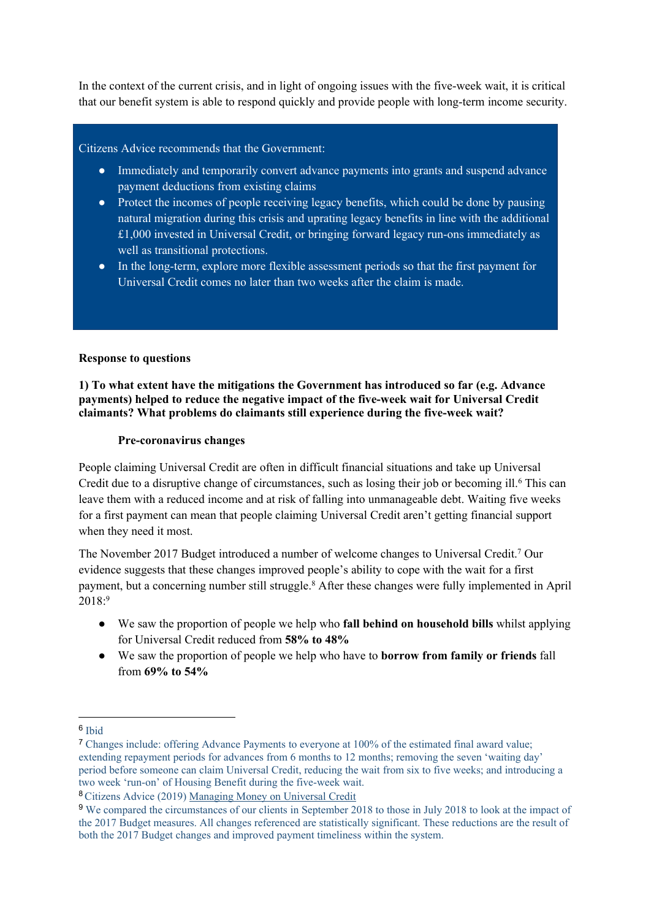In the context of the current crisis, and in light of ongoing issues with the five-week wait, it is critical that our benefit system is able to respond quickly and provide people with long-term income security.

### Citizens Advice recommends that the Government:

- Immediately and temporarily convert advance payments into grants and suspend advance payment deductions from existing claims
- Protect the incomes of people receiving legacy benefits, which could be done by pausing natural migration during this crisis and uprating legacy benefits in line with the additional £1,000 invested in Universal Credit, or bringing forward legacy run-ons immediately as well as transitional protections.
- In the long-term, explore more flexible assessment periods so that the first payment for Universal Credit comes no later than two weeks after the claim is made.

#### **Response to questions**

### **1) To what extent have the mitigations the Government has introduced so far (e.g. Advance payments) helped to reduce the negative impact of the five-week wait for Universal Credit claimants? What problems do claimants still experience during the five-week wait?**

#### **Pre-coronavirus changes**

People claiming Universal Credit are often in difficult financial situations and take up Universal Credit due to a disruptive change of circumstances, such as losing their job or becoming ill.<sup>6</sup> This can leave them with a reduced income and at risk of falling into unmanageable debt. Waiting five weeks for a first payment can mean that people claiming Universal Credit aren't getting financial support when they need it most.

The November 2017 Budget introduced a number of welcome changes to Universal Credit.<sup>7</sup> Our evidence suggests that these changes improved people's ability to cope with the wait for a first payment, but a concerning number still struggle.<sup>8</sup> After these changes were fully implemented in April 2018:<sup>9</sup>

- We saw the proportion of people we help who **fall behind on household bills** whilst applying for Universal Credit reduced from **58% to 48%**
- We saw the proportion of people we help who have to **borrow from family or friends** fall from **69% to 54%**

<sup>6</sup> Ibid

<sup>7</sup> Changes include: offering Advance Payments to everyone at 100% of the estimated final award value; extending repayment periods for advances from 6 months to 12 months; removing the seven 'waiting day' period before someone can claim Universal Credit, reducing the wait from six to five weeks; and introducing a two week 'run-on' of Housing Benefit during the five-week wait.

<sup>8</sup>Citizens Advice (2019) [Managing](https://www.citizensadvice.org.uk/about-us/policy/policy-research-topics/welfare-policy-research-surveys-and-consultation-responses/welfare-policy-research/managing-money-on-universal-credit/) [Money](https://www.citizensadvice.org.uk/about-us/policy/policy-research-topics/welfare-policy-research-surveys-and-consultation-responses/welfare-policy-research/managing-money-on-universal-credit/) [on](https://www.citizensadvice.org.uk/about-us/policy/policy-research-topics/welfare-policy-research-surveys-and-consultation-responses/welfare-policy-research/managing-money-on-universal-credit/) [Universal](https://www.citizensadvice.org.uk/about-us/policy/policy-research-topics/welfare-policy-research-surveys-and-consultation-responses/welfare-policy-research/managing-money-on-universal-credit/) [Credit](https://www.citizensadvice.org.uk/about-us/policy/policy-research-topics/welfare-policy-research-surveys-and-consultation-responses/welfare-policy-research/managing-money-on-universal-credit/)

<sup>9</sup> We compared the circumstances of our clients in September 2018 to those in July 2018 to look at the impact of the 2017 Budget measures. All changes referenced are statistically significant. These reductions are the result of both the 2017 Budget changes and improved payment timeliness within the system.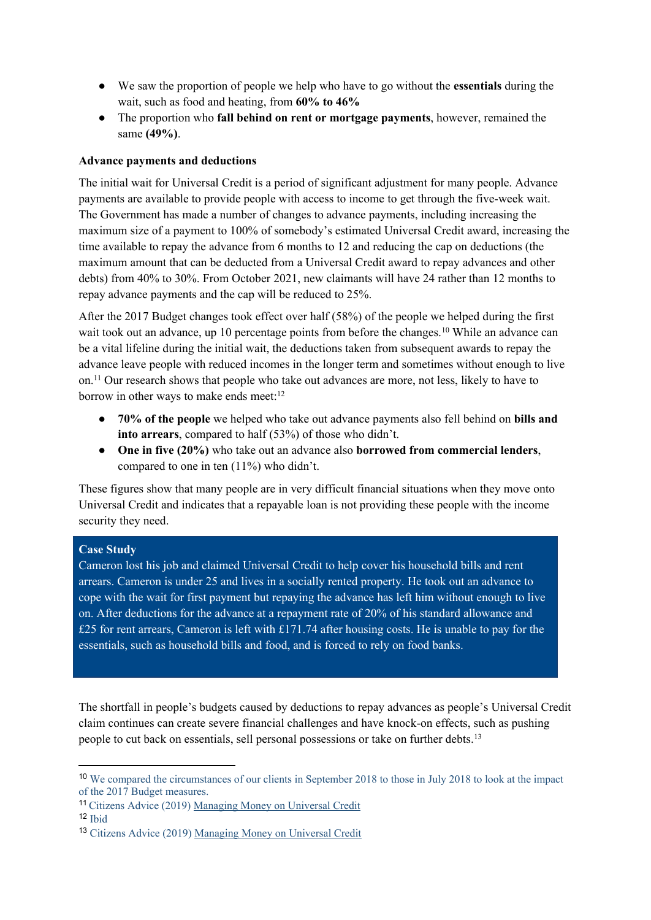- We saw the proportion of people we help who have to go without the **essentials** during the wait, such as food and heating, from **60% to 46%**
- The proportion who **fall behind on rent or mortgage payments**, however, remained the same **(49%)**.

### **Advance payments and deductions**

The initial wait for Universal Credit is a period of significant adjustment for many people. Advance payments are available to provide people with access to income to get through the five-week wait. The Government has made a number of changes to advance payments, including increasing the maximum size of a payment to 100% of somebody's estimated Universal Credit award, increasing the time available to repay the advance from 6 months to 12 and reducing the cap on deductions (the maximum amount that can be deducted from a Universal Credit award to repay advances and other debts) from 40% to 30%. From October 2021, new claimants will have 24 rather than 12 months to repay advance payments and the cap will be reduced to 25%.

After the 2017 Budget changes took effect over half (58%) of the people we helped during the first wait took out an advance, up 10 percentage points from before the changes.<sup>10</sup> While an advance can be a vital lifeline during the initial wait, the deductions taken from subsequent awards to repay the advance leave people with reduced incomes in the longer term and sometimes without enough to live on.<sup>11</sup> Our research shows that people who take out advances are more, not less, likely to have to borrow in other ways to make ends meet:<sup>12</sup>

- **70% of the people** we helped who take out advance payments also fell behind on **bills and into arrears**, compared to half (53%) of those who didn't.
- **One in five (20%)** who take out an advance also **borrowed from commercial lenders**, compared to one in ten (11%) who didn't.

These figures show that many people are in very difficult financial situations when they move onto Universal Credit and indicates that a repayable loan is not providing these people with the income security they need.

### **Case Study**

Cameron lost his job and claimed Universal Credit to help cover his household bills and rent arrears. Cameron is under 25 and lives in a socially rented property. He took out an advance to cope with the wait for first payment but repaying the advance has left him without enough to live on. After deductions for the advance at a repayment rate of 20% of his standard allowance and £25 for rent arrears, Cameron is left with £171.74 after housing costs. He is unable to pay for the essentials, such as household bills and food, and is forced to rely on food banks.

The shortfall in people's budgets caused by deductions to repay advances as people's Universal Credit claim continues can create severe financial challenges and have knock-on effects, such as pushing people to cut back on essentials, sell personal possessions or take on further debts.<sup>13</sup>

<sup>10</sup> We compared the circumstances of our clients in September 2018 to those in July 2018 to look at the impact of the 2017 Budget measures.

<sup>&</sup>lt;sup>11</sup> Citizens Advice (2019) [Managing](https://www.citizensadvice.org.uk/about-us/policy/policy-research-topics/welfare-policy-research-surveys-and-consultation-responses/welfare-policy-research/managing-money-on-universal-credit/) [Money](https://www.citizensadvice.org.uk/about-us/policy/policy-research-topics/welfare-policy-research-surveys-and-consultation-responses/welfare-policy-research/managing-money-on-universal-credit/) [on](https://www.citizensadvice.org.uk/about-us/policy/policy-research-topics/welfare-policy-research-surveys-and-consultation-responses/welfare-policy-research/managing-money-on-universal-credit/) [Universal](https://www.citizensadvice.org.uk/about-us/policy/policy-research-topics/welfare-policy-research-surveys-and-consultation-responses/welfare-policy-research/managing-money-on-universal-credit/) [Credit](https://www.citizensadvice.org.uk/about-us/policy/policy-research-topics/welfare-policy-research-surveys-and-consultation-responses/welfare-policy-research/managing-money-on-universal-credit/)

<sup>12</sup> Ibid

<sup>13</sup> Citizens Advice (2019) [Managing](https://www.citizensadvice.org.uk/about-us/policy/policy-research-topics/welfare-policy-research-surveys-and-consultation-responses/welfare-policy-research/managing-money-on-universal-credit/) [Money](https://www.citizensadvice.org.uk/about-us/policy/policy-research-topics/welfare-policy-research-surveys-and-consultation-responses/welfare-policy-research/managing-money-on-universal-credit/) [on](https://www.citizensadvice.org.uk/about-us/policy/policy-research-topics/welfare-policy-research-surveys-and-consultation-responses/welfare-policy-research/managing-money-on-universal-credit/) [Universal](https://www.citizensadvice.org.uk/about-us/policy/policy-research-topics/welfare-policy-research-surveys-and-consultation-responses/welfare-policy-research/managing-money-on-universal-credit/) [Credit](https://www.citizensadvice.org.uk/about-us/policy/policy-research-topics/welfare-policy-research-surveys-and-consultation-responses/welfare-policy-research/managing-money-on-universal-credit/)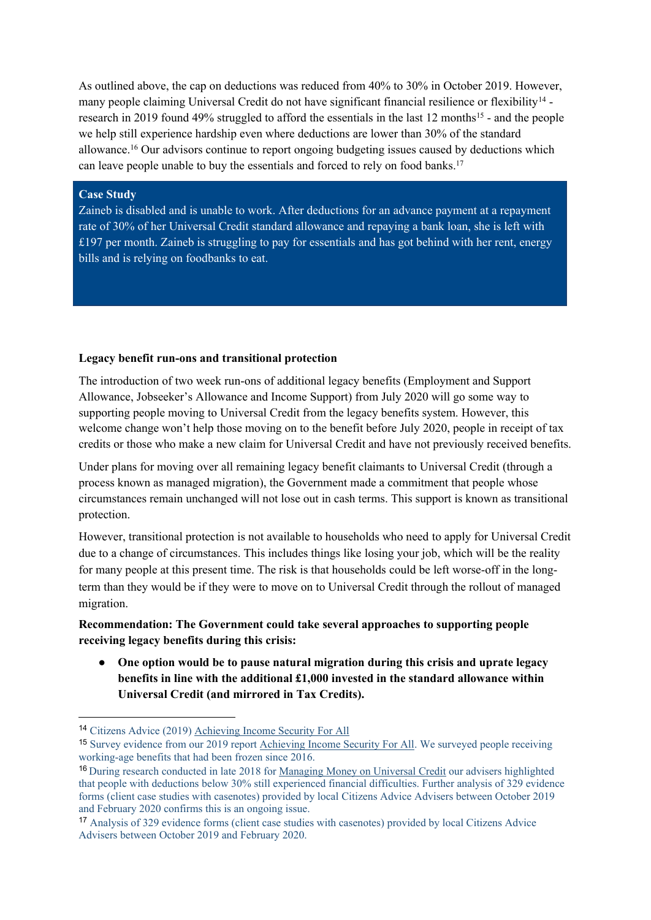As outlined above, the cap on deductions was reduced from 40% to 30% in October 2019. However, many people claiming Universal Credit do not have significant financial resilience or flexibility<sup>14</sup> research in 2019 found 49% struggled to afford the essentials in the last 12 months<sup>15</sup> - and the people we help still experience hardship even where deductions are lower than 30% of the standard allowance.<sup>16</sup> Our advisors continue to report ongoing budgeting issues caused by deductions which can leave people unable to buy the essentials and forced to rely on food banks.<sup>17</sup>

#### **Case Study**

Zaineb is disabled and is unable to work. After deductions for an advance payment at a repayment rate of 30% of her Universal Credit standard allowance and repaying a bank loan, she is left with £197 per month. Zaineb is struggling to pay for essentials and has got behind with her rent, energy bills and is relying on foodbanks to eat.

### **Legacy benefit run-ons and transitional protection**

The introduction of two week run-ons of additional legacy benefits (Employment and Support Allowance, Jobseeker's Allowance and Income Support) from July 2020 will go some way to supporting people moving to Universal Credit from the legacy benefits system. However, this welcome change won't help those moving on to the benefit before July 2020, people in receipt of tax credits or those who make a new claim for Universal Credit and have not previously received benefits.

Under plans for moving over all remaining legacy benefit claimants to Universal Credit (through a process known as managed migration), the Government made a commitment that people whose circumstances remain unchanged will not lose out in cash terms. This support is known as transitional protection.

However, transitional protection is not available to households who need to apply for Universal Credit due to a change of circumstances. This includes things like losing your job, which will be the reality for many people at this present time. The risk is that households could be left worse-off in the longterm than they would be if they were to move on to Universal Credit through the rollout of managed migration.

## **Recommendation: The Government could take several approaches to supporting people receiving legacy benefits during this crisis:**

● **One option would be to pause natural migration during this crisis and uprate legacy benefits in line with the additional £1,000 invested in the standard allowance within Universal Credit (and mirrored in Tax Credits).**

<sup>14</sup> Citizens Advice (2019) [Achieving](https://www.citizensadvice.org.uk/Global/CitizensAdvice/welfare%20publications/Achieving%20income%20security%20for%20all%20(FINAL).pdf) [Income](https://www.citizensadvice.org.uk/Global/CitizensAdvice/welfare%20publications/Achieving%20income%20security%20for%20all%20(FINAL).pdf) [Security](https://www.citizensadvice.org.uk/Global/CitizensAdvice/welfare%20publications/Achieving%20income%20security%20for%20all%20(FINAL).pdf) [For](https://www.citizensadvice.org.uk/Global/CitizensAdvice/welfare%20publications/Achieving%20income%20security%20for%20all%20(FINAL).pdf) [All](https://www.citizensadvice.org.uk/Global/CitizensAdvice/welfare%20publications/Achieving%20income%20security%20for%20all%20(FINAL).pdf)

<sup>15</sup> Survey evidence from our 2019 report [Achieving](https://www.citizensadvice.org.uk/Global/CitizensAdvice/welfare%20publications/Achieving%20income%20security%20for%20all%20(FINAL).pdf) [Income](https://www.citizensadvice.org.uk/Global/CitizensAdvice/welfare%20publications/Achieving%20income%20security%20for%20all%20(FINAL).pdf) [Security](https://www.citizensadvice.org.uk/Global/CitizensAdvice/welfare%20publications/Achieving%20income%20security%20for%20all%20(FINAL).pdf) [For](https://www.citizensadvice.org.uk/Global/CitizensAdvice/welfare%20publications/Achieving%20income%20security%20for%20all%20(FINAL).pdf) [All](https://www.citizensadvice.org.uk/Global/CitizensAdvice/welfare%20publications/Achieving%20income%20security%20for%20all%20(FINAL).pdf). We surveyed people receiving working-age benefits that had been frozen since 2016.

<sup>16</sup> During research conducted in late 2018 for [Managing](https://www.citizensadvice.org.uk/about-us/policy/policy-research-topics/welfare-policy-research-surveys-and-consultation-responses/welfare-policy-research/managing-money-on-universal-credit/) [Money](https://www.citizensadvice.org.uk/about-us/policy/policy-research-topics/welfare-policy-research-surveys-and-consultation-responses/welfare-policy-research/managing-money-on-universal-credit/) [on](https://www.citizensadvice.org.uk/about-us/policy/policy-research-topics/welfare-policy-research-surveys-and-consultation-responses/welfare-policy-research/managing-money-on-universal-credit/) [Universal](https://www.citizensadvice.org.uk/about-us/policy/policy-research-topics/welfare-policy-research-surveys-and-consultation-responses/welfare-policy-research/managing-money-on-universal-credit/) [Credit](https://www.citizensadvice.org.uk/about-us/policy/policy-research-topics/welfare-policy-research-surveys-and-consultation-responses/welfare-policy-research/managing-money-on-universal-credit/) our advisers highlighted that people with deductions below 30% still experienced financial difficulties. Further analysis of 329 evidence forms (client case studies with casenotes) provided by local Citizens Advice Advisers between October 2019 and February 2020 confirms this is an ongoing issue.

<sup>17</sup> Analysis of 329 evidence forms (client case studies with casenotes) provided by local Citizens Advice Advisers between October 2019 and February 2020.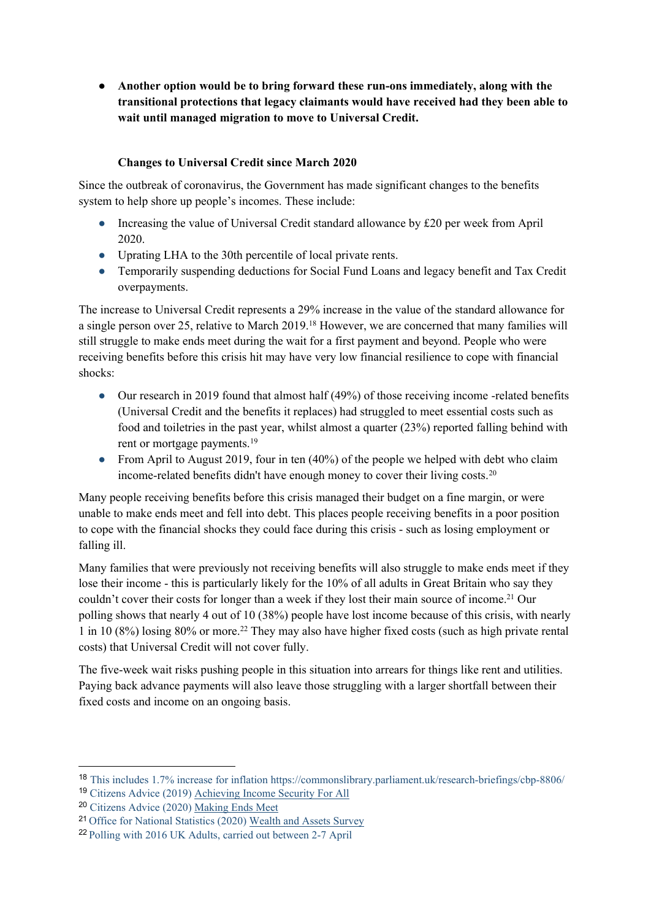● **Another option would be to bring forward these run-ons immediately, along with the transitional protections that legacy claimants would have received had they been able to wait until managed migration to move to Universal Credit.** 

## **Changes to Universal Credit since March 2020**

Since the outbreak of coronavirus, the Government has made significant changes to the benefits system to help shore up people's incomes. These include:

- Increasing the value of Universal Credit standard allowance by £20 per week from April 2020.
- Uprating LHA to the 30th percentile of local private rents.
- Temporarily suspending deductions for Social Fund Loans and legacy benefit and Tax Credit overpayments.

The increase to Universal Credit represents a 29% increase in the value of the standard allowance for a single person over 25, relative to March 2019.<sup>18</sup> However, we are concerned that many families will still struggle to make ends meet during the wait for a first payment and beyond. People who were receiving benefits before this crisis hit may have very low financial resilience to cope with financial shocks:

- Our research in 2019 found that almost half (49%) of those receiving income -related benefits (Universal Credit and the benefits it replaces) had struggled to meet essential costs such as food and toiletries in the past year, whilst almost a quarter (23%) reported falling behind with rent or mortgage payments.<sup>19</sup>
- From April to August 2019, four in ten  $(40%)$  of the people we helped with debt who claim income-related benefits didn't have enough money to cover their living costs.<sup>20</sup>

Many people receiving benefits before this crisis managed their budget on a fine margin, or were unable to make ends meet and fell into debt. This places people receiving benefits in a poor position to cope with the financial shocks they could face during this crisis - such as losing employment or falling ill.

Many families that were previously not receiving benefits will also struggle to make ends meet if they lose their income - this is particularly likely for the 10% of all adults in Great Britain who say they couldn't cover their costs for longer than a week if they lost their main source of income.<sup>21</sup> Our polling shows that nearly 4 out of 10 (38%) people have lost income because of this crisis, with nearly 1 in 10 (8%) losing 80% or more.<sup>22</sup> They may also have higher fixed costs (such as high private rental costs) that Universal Credit will not cover fully.

The five-week wait risks pushing people in this situation into arrears for things like rent and utilities. Paying back advance payments will also leave those struggling with a larger shortfall between their fixed costs and income on an ongoing basis.

<sup>18</sup> This includes 1.7% increase for in[f](https://www.citizensadvice.org.uk/Global/CitizensAdvice/welfare%20publications/Achieving%20income%20security%20for%20all%20(FINAL).pdf)lation <https://commonslibrary.parliament.uk/research-briefings/cbp-8806/>

<sup>19</sup> Citizens Advice (2019) [Achieving](https://www.citizensadvice.org.uk/Global/CitizensAdvice/welfare%20publications/Achieving%20income%20security%20for%20all%20(FINAL).pdf) [Income](https://www.citizensadvice.org.uk/Global/CitizensAdvice/welfare%20publications/Achieving%20income%20security%20for%20all%20(FINAL).pdf) [Security](https://www.citizensadvice.org.uk/Global/CitizensAdvice/welfare%20publications/Achieving%20income%20security%20for%20all%20(FINAL).pdf) [For](https://www.citizensadvice.org.uk/Global/CitizensAdvice/welfare%20publications/Achieving%20income%20security%20for%20all%20(FINAL).pdf) [All](https://www.citizensadvice.org.uk/Global/CitizensAdvice/welfare%20publications/Achieving%20income%20security%20for%20all%20(FINAL).pdf)

<sup>20</sup> Citizens Advice (2020) [Making](https://www.citizensadvice.org.uk/Global/CitizensAdvice/welfare%20publications/Making%20Ends%20Meet%20-%20The%20impact%20of%20the%20benefits%20freeze%20on%20people%20in%20debt%20%20(1).pdf) [Ends](https://www.citizensadvice.org.uk/Global/CitizensAdvice/welfare%20publications/Making%20Ends%20Meet%20-%20The%20impact%20of%20the%20benefits%20freeze%20on%20people%20in%20debt%20%20(1).pdf) [Meet](https://www.citizensadvice.org.uk/Global/CitizensAdvice/welfare%20publications/Making%20Ends%20Meet%20-%20The%20impact%20of%20the%20benefits%20freeze%20on%20people%20in%20debt%20%20(1).pdf) 

<sup>21</sup> Office for National Statistics (2020) [Wealth](https://www.ons.gov.uk/peoplepopulationandcommunity/personalandhouseholdfinances/incomeandwealth/bulletins/earlyindicatorestimatesfromthewealthandassetssurvey/attitudestowardsfinancialsecurityapril2018toseptember2019#strengths-and-limitations) [and](https://www.ons.gov.uk/peoplepopulationandcommunity/personalandhouseholdfinances/incomeandwealth/bulletins/earlyindicatorestimatesfromthewealthandassetssurvey/attitudestowardsfinancialsecurityapril2018toseptember2019#strengths-and-limitations) [Assets](https://www.ons.gov.uk/peoplepopulationandcommunity/personalandhouseholdfinances/incomeandwealth/bulletins/earlyindicatorestimatesfromthewealthandassetssurvey/attitudestowardsfinancialsecurityapril2018toseptember2019#strengths-and-limitations) [Survey](https://www.ons.gov.uk/peoplepopulationandcommunity/personalandhouseholdfinances/incomeandwealth/bulletins/earlyindicatorestimatesfromthewealthandassetssurvey/attitudestowardsfinancialsecurityapril2018toseptember2019#strengths-and-limitations)

<sup>22</sup> Polling with 2016 UK Adults, carried out between 2-7 April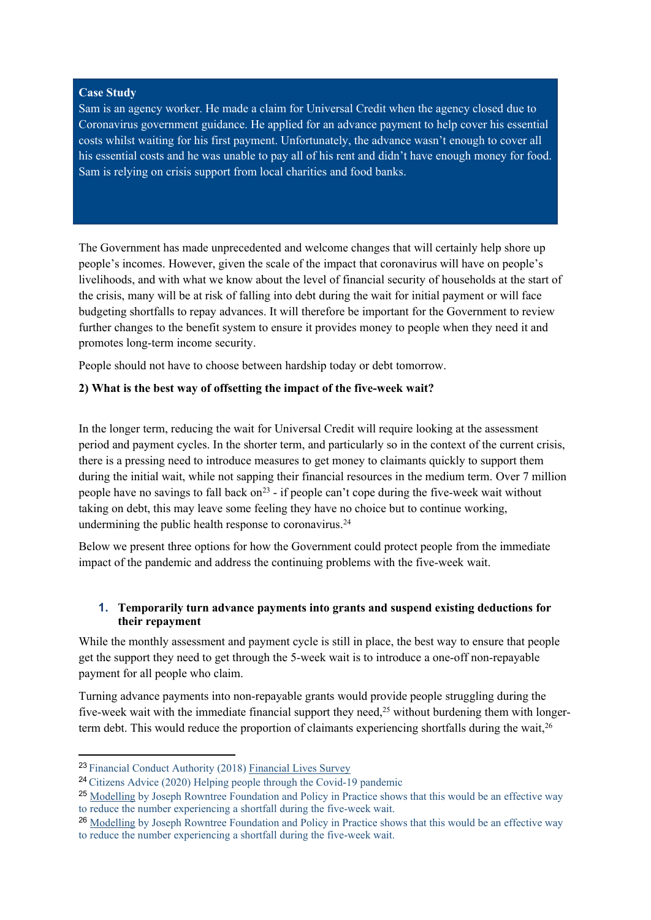#### **Case Study**

Sam is an agency worker. He made a claim for Universal Credit when the agency closed due to Coronavirus government guidance. He applied for an advance payment to help cover his essential costs whilst waiting for his first payment. Unfortunately, the advance wasn't enough to cover all his essential costs and he was unable to pay all of his rent and didn't have enough money for food. Sam is relying on crisis support from local charities and food banks.

The Government has made unprecedented and welcome changes that will certainly help shore up people's incomes. However, given the scale of the impact that coronavirus will have on people's livelihoods, and with what we know about the level of financial security of households at the start of the crisis, many will be at risk of falling into debt during the wait for initial payment or will face budgeting shortfalls to repay advances. It will therefore be important for the Government to review further changes to the benefit system to ensure it provides money to people when they need it and promotes long-term income security.

People should not have to choose between hardship today or debt tomorrow.

### **2) What is the best way of offsetting the impact of the five-week wait?**

In the longer term, reducing the wait for Universal Credit will require looking at the assessment period and payment cycles. In the shorter term, and particularly so in the context of the current crisis, there is a pressing need to introduce measures to get money to claimants quickly to support them during the initial wait, while not sapping their financial resources in the medium term. Over 7 million people have no savings to fall back on<sup>23</sup> - if people can't cope during the five-week wait without taking on debt, this may leave some feeling they have no choice but to continue working, undermining the public health response to coronavirus.<sup>24</sup>

Below we present three options for how the Government could protect people from the immediate impact of the pandemic and address the continuing problems with the five-week wait.

### **1. Temporarily turn advance payments into grants and suspend existing deductions for their repayment**

While the monthly assessment and payment cycle is still in place, the best way to ensure that people get the support they need to get through the 5-week wait is to introduce a one-off non-repayable payment for all people who claim.

Turning advance payments into non-repayable grants would provide people struggling during the five-week wait with the immediate financial support they need,<sup>25</sup> without burdening them with longerterm debt. This would reduce the proportion of claimants experiencing shortfalls during the wait,<sup>26</sup>

<sup>23</sup> Financial Conduct Authority (2018) [Financial](https://www.fca.org.uk/publication/research/financial-lives-consumers-across-uk.pdf) [Lives](https://www.fca.org.uk/publication/research/financial-lives-consumers-across-uk.pdf) [Survey](https://www.fca.org.uk/publication/research/financial-lives-consumers-across-uk.pdf)

<sup>24</sup>Citizens Advice (2020) Helping people through the Covid-19 pandemic

<sup>25</sup> [Modelling](http://policyinpractice.co.uk/wp-content/uploads/Universal-Credit-and-Financial-Resilience-190919-Full-report.pdf) by Joseph Rowntree Foundation and Policy in Practice shows that this would be an effective way to reduce the number experiencing a shortfall during the five-week wait.

<sup>&</sup>lt;sup>26</sup> [Modelling](http://policyinpractice.co.uk/wp-content/uploads/Universal-Credit-and-Financial-Resilience-190919-Full-report.pdf) by Joseph Rowntree Foundation and Policy in Practice shows that this would be an effective way to reduce the number experiencing a shortfall during the five-week wait.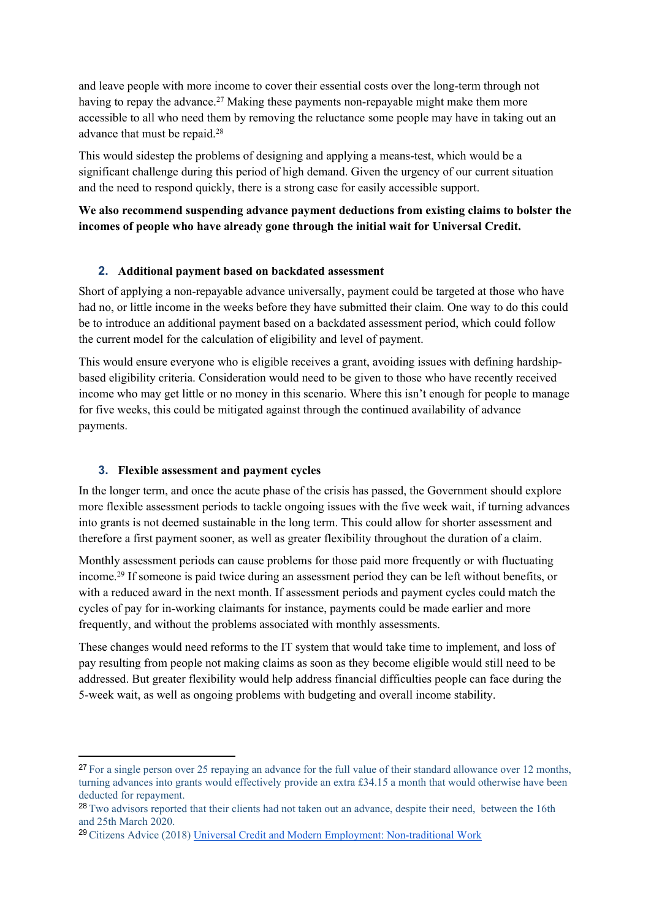and leave people with more income to cover their essential costs over the long-term through not having to repay the advance.<sup>27</sup> Making these payments non-repayable might make them more accessible to all who need them by removing the reluctance some people may have in taking out an advance that must be repaid.<sup>28</sup>

This would sidestep the problems of designing and applying a means-test, which would be a significant challenge during this period of high demand. Given the urgency of our current situation and the need to respond quickly, there is a strong case for easily accessible support.

## **We also recommend suspending advance payment deductions from existing claims to bolster the incomes of people who have already gone through the initial wait for Universal Credit.**

### **2. Additional payment based on backdated assessment**

Short of applying a non-repayable advance universally, payment could be targeted at those who have had no, or little income in the weeks before they have submitted their claim. One way to do this could be to introduce an additional payment based on a backdated assessment period, which could follow the current model for the calculation of eligibility and level of payment.

This would ensure everyone who is eligible receives a grant, avoiding issues with defining hardshipbased eligibility criteria. Consideration would need to be given to those who have recently received income who may get little or no money in this scenario. Where this isn't enough for people to manage for five weeks, this could be mitigated against through the continued availability of advance payments.

# **3. Flexible assessment and payment cycles**

In the longer term, and once the acute phase of the crisis has passed, the Government should explore more flexible assessment periods to tackle ongoing issues with the five week wait, if turning advances into grants is not deemed sustainable in the long term. This could allow for shorter assessment and therefore a first payment sooner, as well as greater flexibility throughout the duration of a claim.

Monthly assessment periods can cause problems for those paid more frequently or with fluctuating income.<sup>29</sup> If someone is paid twice during an assessment period they can be left without benefits, or with a reduced award in the next month. If assessment periods and payment cycles could match the cycles of pay for in-working claimants for instance, payments could be made earlier and more frequently, and without the problems associated with monthly assessments.

These changes would need reforms to the IT system that would take time to implement, and loss of pay resulting from people not making claims as soon as they become eligible would still need to be addressed. But greater flexibility would help address financial difficulties people can face during the 5-week wait, as well as ongoing problems with budgeting and overall income stability.

<sup>&</sup>lt;sup>27</sup> For a single person over 25 repaying an advance for the full value of their standard allowance over 12 months, turning advances into grants would effectively provide an extra £34.15 a month that would otherwise have been deducted for repayment.

<sup>&</sup>lt;sup>28</sup> Two advisors reported that their clients had not taken out an advance, despite their need, between the 16th and 25th March 2020.

<sup>29</sup>Citizens Advice (2018) [Universal](https://www.citizensadvice.org.uk/Global/CitizensAdvice/welfare%20publications/Universal%20Credit%20and%20non-traditional%20employment.pdf) [Credit](https://www.citizensadvice.org.uk/Global/CitizensAdvice/welfare%20publications/Universal%20Credit%20and%20non-traditional%20employment.pdf) [and](https://www.citizensadvice.org.uk/Global/CitizensAdvice/welfare%20publications/Universal%20Credit%20and%20non-traditional%20employment.pdf) [Modern](https://www.citizensadvice.org.uk/Global/CitizensAdvice/welfare%20publications/Universal%20Credit%20and%20non-traditional%20employment.pdf) [Employment:](https://www.citizensadvice.org.uk/Global/CitizensAdvice/welfare%20publications/Universal%20Credit%20and%20non-traditional%20employment.pdf) [Non-traditional](https://www.citizensadvice.org.uk/Global/CitizensAdvice/welfare%20publications/Universal%20Credit%20and%20non-traditional%20employment.pdf) [Work](https://www.citizensadvice.org.uk/Global/CitizensAdvice/welfare%20publications/Universal%20Credit%20and%20non-traditional%20employment.pdf)